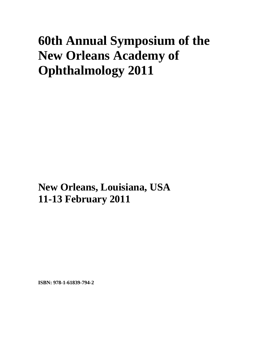## **60th Annual Symposium of the New Orleans Academy of Ophthalmology 2011**

**New Orleans, Louisiana, USA 11-13 February 2011**

**ISBN: 978-1-61839-794-2**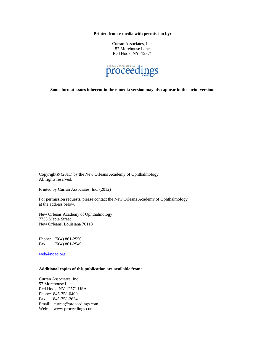**Printed from e-media with permission by:** 

Curran Associates, Inc. 57 Morehouse Lane Red Hook, NY 12571



**Some format issues inherent in the e-media version may also appear in this print version.** 

Copyright© (2011) by the New Orleans Academy of Ophthalmology All rights reserved.

Printed by Curran Associates, Inc. (2012)

For permission requests, please contact the New Orleans Academy of Ophthalmology at the address below.

New Orleans Academy of Ophthalmology 7733 Maple Street New Orleans, Louisiana 70118

Phone: (504) 861-2550 Fax: (504) 861-2549

web@noao.org

## **Additional copies of this publication are available from:**

Curran Associates, Inc. 57 Morehouse Lane Red Hook, NY 12571 USA Phone: 845-758-0400 Fax: 845-758-2634 Email: curran@proceedings.com Web: www.proceedings.com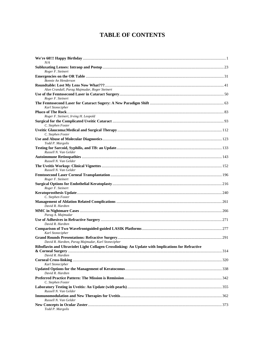## **TABLE OF CONTENTS**

| N/A                                                                                                |  |
|----------------------------------------------------------------------------------------------------|--|
|                                                                                                    |  |
| Roger F. Steinert                                                                                  |  |
|                                                                                                    |  |
| Bonnie An Henderson                                                                                |  |
| Alan Crandall, Parag Majmudar, Roger Steinert                                                      |  |
|                                                                                                    |  |
| Roger F. Steinert                                                                                  |  |
| Karl Stonecipher                                                                                   |  |
|                                                                                                    |  |
| Roger F. Steinert, Irving H. Leopold                                                               |  |
|                                                                                                    |  |
| C. Stephen Foster                                                                                  |  |
| C. Stephen Foster                                                                                  |  |
|                                                                                                    |  |
| Todd P. Margolis                                                                                   |  |
| Russell N. Van Gelder                                                                              |  |
|                                                                                                    |  |
| Russell N. Van Gelder                                                                              |  |
| Russell N. Van Gelder                                                                              |  |
| Roger F. Steinert                                                                                  |  |
|                                                                                                    |  |
| Roger F. Steinert                                                                                  |  |
| C. Stephen Foster                                                                                  |  |
| David R. Hardten                                                                                   |  |
|                                                                                                    |  |
| Parag A. Majmudar                                                                                  |  |
| David R. Hardten                                                                                   |  |
| Karl Stonecipher                                                                                   |  |
|                                                                                                    |  |
| David R. Hardten, Parag Majmudar, Karl Stonecipher                                                 |  |
| Riboflavin and Ultraviolet Light Collagen Crosslinking: An Update with Implications for Refractive |  |
| David R. Hardten                                                                                   |  |
| Karl Stonecipher                                                                                   |  |
| David R. Hardten                                                                                   |  |
| C. Stephen Foster                                                                                  |  |
|                                                                                                    |  |
| Russell N. Van Gelder                                                                              |  |
|                                                                                                    |  |
| Russell N. Van Gelder                                                                              |  |
| Todd P. Margolis                                                                                   |  |